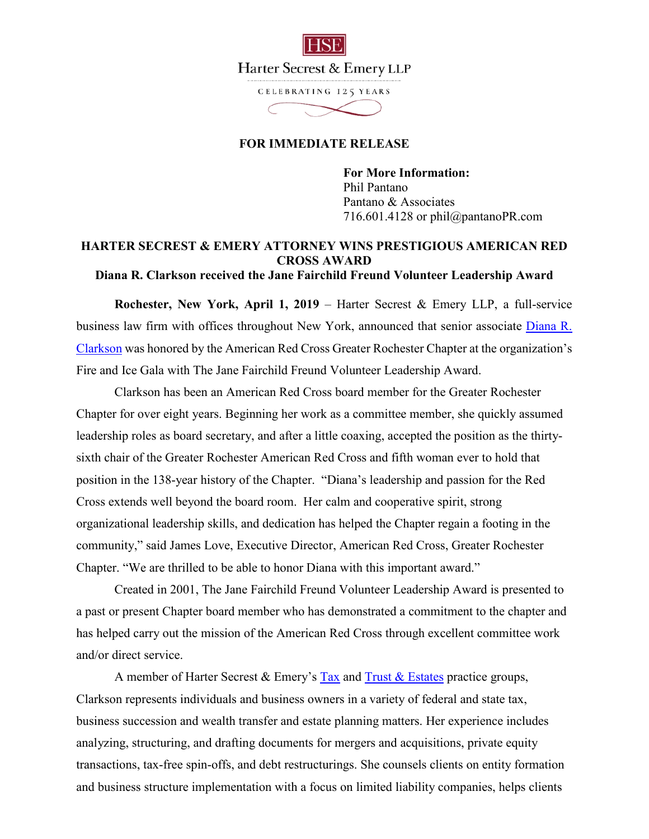

CELEBRATING 125 YEARS

## **FOR IMMEDIATE RELEASE**

**For More Information:**  Phil Pantano Pantano & Associates 716.601.4128 or phil@pantanoPR.com

## **HARTER SECREST & EMERY ATTORNEY WINS PRESTIGIOUS AMERICAN RED CROSS AWARD**

**Diana R. Clarkson received the Jane Fairchild Freund Volunteer Leadership Award** 

**Rochester, New York, April 1, 2019** – Harter Secrest & Emery LLP, a full-service business law firm with offices throughout New York, announced that senior associate Diana R. Clarkson was honored by the American Red Cross Greater Rochester Chapter at the organization's Fire and Ice Gala with The Jane Fairchild Freund Volunteer Leadership Award.

Clarkson has been an American Red Cross board member for the Greater Rochester Chapter for over eight years. Beginning her work as a committee member, she quickly assumed leadership roles as board secretary, and after a little coaxing, accepted the position as the thirtysixth chair of the Greater Rochester American Red Cross and fifth woman ever to hold that position in the 138-year history of the Chapter. "Diana's leadership and passion for the Red Cross extends well beyond the board room. Her calm and cooperative spirit, strong organizational leadership skills, and dedication has helped the Chapter regain a footing in the community," said James Love, Executive Director, American Red Cross, Greater Rochester Chapter. "We are thrilled to be able to honor Diana with this important award."

Created in 2001, The Jane Fairchild Freund Volunteer Leadership Award is presented to a past or present Chapter board member who has demonstrated a commitment to the chapter and has helped carry out the mission of the American Red Cross through excellent committee work and/or direct service.

A member of Harter Secrest & Emery's Tax and Trust  $\&$  Estates practice groups, Clarkson represents individuals and business owners in a variety of federal and state tax, business succession and wealth transfer and estate planning matters. Her experience includes analyzing, structuring, and drafting documents for mergers and acquisitions, private equity transactions, tax-free spin-offs, and debt restructurings. She counsels clients on entity formation and business structure implementation with a focus on limited liability companies, helps clients